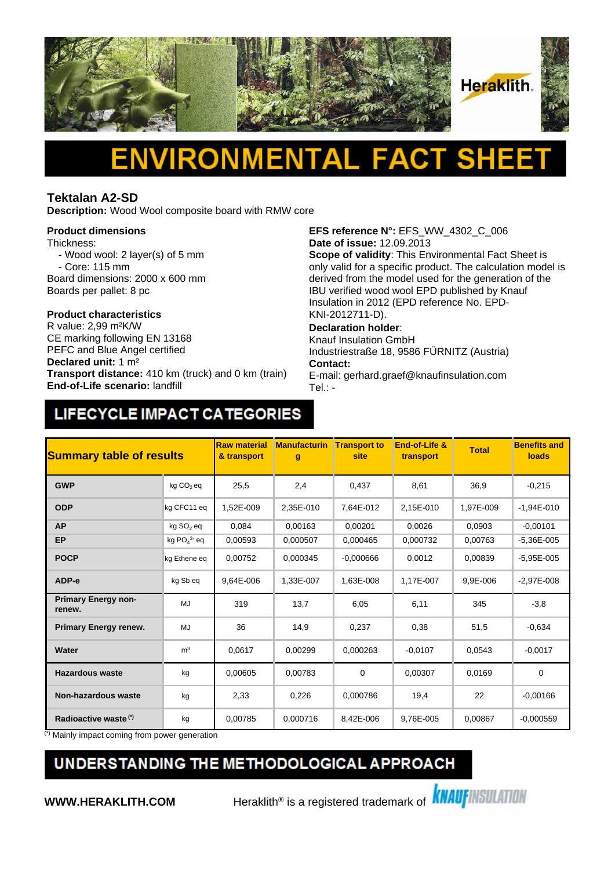

# Δ

### **Tektalan A2-SD**

**Description:** Wood Wool composite board with RMW core

### **Product dimensions**

Thickness:

- Wood wool: 2 layer(s) of 5 mm - Core: 115 mm
- Board dimensions: 2000 x 600 mm

### Boards per pallet: 8 pc

# **Product characteristics**

CE marking following EN 13168 PEFC and Blue Angel certified **Declared unit:** 1 m² **Transport distance:** 410 km (truck) and 0 km (train) **End-of-Life scenario:** landfill

**EFS reference N°:** EFS\_WW\_4302\_C\_006 **Date of issue:** 12.09.2013

**Scope of validity**: This Environmental Fact Sheet is only valid for a specific product. The calculation model is derived from the model used for the generation of the IBU verified wood wool EPD published by Knauf Insulation in 2012 (EPD reference No. EPD-KNI-2012711-D).

### **Declaration holder**:

Knauf Insulation GmbH Industriestraße 18, 9586 FÜRNITZ (Austria) **Contact:** 

E-mail: gerhard.graef@knaufinsulation.com Tel.: -

### LIFECYCLE IMPACT CATEGORIES

| <b>Summary table of results</b>      |                       | <b>Raw material</b><br>& transport | <b>Manufacturin</b><br>g | <b>Transport to</b><br>site | End-of-Life &<br>transport | <b>Total</b> | <b>Benefits and</b><br>loads |
|--------------------------------------|-----------------------|------------------------------------|--------------------------|-----------------------------|----------------------------|--------------|------------------------------|
| <b>GWP</b>                           | kg CO <sub>2</sub> eq | 25,5                               | 2,4                      | 0,437                       | 8,61                       | 36,9         | $-0,215$                     |
| <b>ODP</b>                           | kg CFC11 eq           | 1.52E-009                          | 2,35E-010                | 7.64E-012                   | 2,15E-010                  | 1,97E-009    | $-1.94E - 010$               |
| <b>AP</b>                            | kg SO <sub>2</sub> eq | 0,084                              | 0,00163                  | 0,00201                     | 0,0026                     | 0,0903       | $-0,00101$                   |
| <b>EP</b>                            | kg $PO43$ eq          | 0.00593                            | 0,000507                 | 0.000465                    | 0.000732                   | 0,00763      | $-5.36E - 005$               |
| <b>POCP</b>                          | kg Ethene eq          | 0,00752                            | 0.000345                 | $-0,000666$                 | 0,0012                     | 0,00839      | $-5,95E-005$                 |
| ADP-e                                | kg Sb eq              | 9,64E-006                          | 1,33E-007                | 1,63E-008                   | 1,17E-007                  | 9,9E-006     | $-2,97E-008$                 |
| <b>Primary Energy non-</b><br>renew. | MJ                    | 319                                | 13,7                     | 6,05                        | 6,11                       | 345          | $-3,8$                       |
| <b>Primary Energy renew.</b>         | MJ                    | 36                                 | 14,9                     | 0,237                       | 0,38                       | 51,5         | $-0,634$                     |
| Water                                | m <sup>3</sup>        | 0,0617                             | 0,00299                  | 0.000263                    | $-0.0107$                  | 0,0543       | $-0,0017$                    |
| <b>Hazardous waste</b>               | kg                    | 0,00605                            | 0,00783                  | 0                           | 0,00307                    | 0,0169       | $\mathbf 0$                  |
| <b>Non-hazardous waste</b>           | kg                    | 2,33                               | 0,226                    | 0,000786                    | 19,4                       | 22           | $-0,00166$                   |
| Radioactive waste <sup>(*)</sup>     | kg                    | 0,00785                            | 0,000716                 | 8,42E-006                   | 9,76E-005                  | 0,00867      | $-0,000559$                  |

Mainly impact coming from power generation

## UNDERSTANDING THE METHODOLOGICAL APPROACH

**WWW.HERAKLITH.COM** Heraklith<sup>®</sup> is a registered trademark of **KNAUFINSULATION**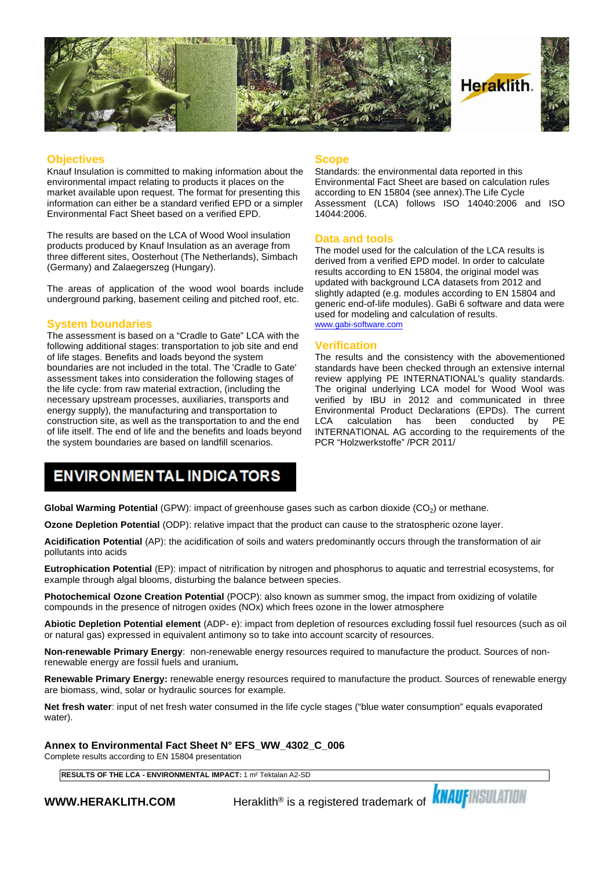

#### **Objectives**

Knauf Insulation is committed to making information about the environmental impact relating to products it places on the market available upon request. The format for presenting this information can either be a standard verified EPD or a simpler Environmental Fact Sheet based on a verified EPD.

The results are based on the LCA of Wood Wool insulation products produced by Knauf Insulation as an average from three different sites, Oosterhout (The Netherlands), Simbach (Germany) and Zalaegerszeg (Hungary).

The areas of application of the wood wool boards include underground parking, basement ceiling and pitched roof, etc.

#### **System boundaries**

The assessment is based on a "Cradle to Gate" LCA with the following additional stages: transportation to job site and end of life stages. Benefits and loads beyond the system boundaries are not included in the total. The 'Cradle to Gate' assessment takes into consideration the following stages of the life cycle: from raw material extraction, (including the necessary upstream processes, auxiliaries, transports and energy supply), the manufacturing and transportation to construction site, as well as the transportation to and the end LCA of life itself. The end of life and the benefits and loads beyond the system boundaries are based on landfill scenarios.

#### **Scope**

Standards: the environmental data reported in this Environmental Fact Sheet are based on calculation rules according to EN 15804 (see annex).The Life Cycle Assessment (LCA) follows ISO 14040:2006 and ISO 14044:2006.

### **Data and tools**

The model used for the calculation of the LCA results is derived from a verified EPD model. In order to calculate results according to EN 15804, the original model was updated with background LCA datasets from 2012 and slightly adapted (e.g. modules according to EN 15804 and generic end-of-life modules). GaBi 6 software and data were used for modeling and calculation of results. [www.gabi-software.com](http://www.gabi-software.com)

### **Verification**

The results and the consistency with the abovementioned standards have been checked through an extensive internal review applying PE INTERNATIONAL's quality standards. The original underlying LCA model for Wood Wool was verified by IBU in 2012 and communicated in three Environmental Product Declarations (EPDs). The current calculation has been conducted INTERNATIONAL AG according to the requirements of the PCR "Holzwerkstoffe" /PCR 2011/

### **ENVIRONMENTAL INDICATORS**

**Global Warming Potential** (GPW): impact of greenhouse gases such as carbon dioxide (CO<sub>2</sub>) or methane.

**Ozone Depletion Potential** (ODP): relative impact that the product can cause to the stratospheric ozone layer.

**Acidification Potential** (AP): the acidification of soils and waters predominantly occurs through the transformation of air pollutants into acids

**Eutrophication Potential** (EP): impact of nitrification by nitrogen and phosphorus to aquatic and terrestrial ecosystems, for example through algal blooms, disturbing the balance between species.

**Photochemical Ozone Creation Potential** (POCP): also known as summer smog, the impact from oxidizing of volatile compounds in the presence of nitrogen oxides (NOx) which frees ozone in the lower atmosphere

**Abiotic Depletion Potential element** (ADP- e): impact from depletion of resources excluding fossil fuel resources (such as oil or natural gas) expressed in equivalent antimony so to take into account scarcity of resources.

**Non-renewable Primary Energy**: non-renewable energy resources required to manufacture the product. Sources of nonrenewable energy are fossil fuels and uranium**.**

**Renewable Primary Energy:** renewable energy resources required to manufacture the product. Sources of renewable energy are biomass, wind, solar or hydraulic sources for example.

**Net fresh water**: input of net fresh water consumed in the life cycle stages ("blue water consumption" equals evaporated water).

**Annex to Environmental Fact Sheet N° EFS\_WW\_4302\_C\_006**

Complete results according to EN 15804 presentation

**RESULTS OF THE LCA - ENVIRONMENTAL IMPACT:** 1 m² Tektalan A2-SD

**WWW.HERAKLITH.COM** Peraklith® is a registered trademark of **KNAUFINSULATION**